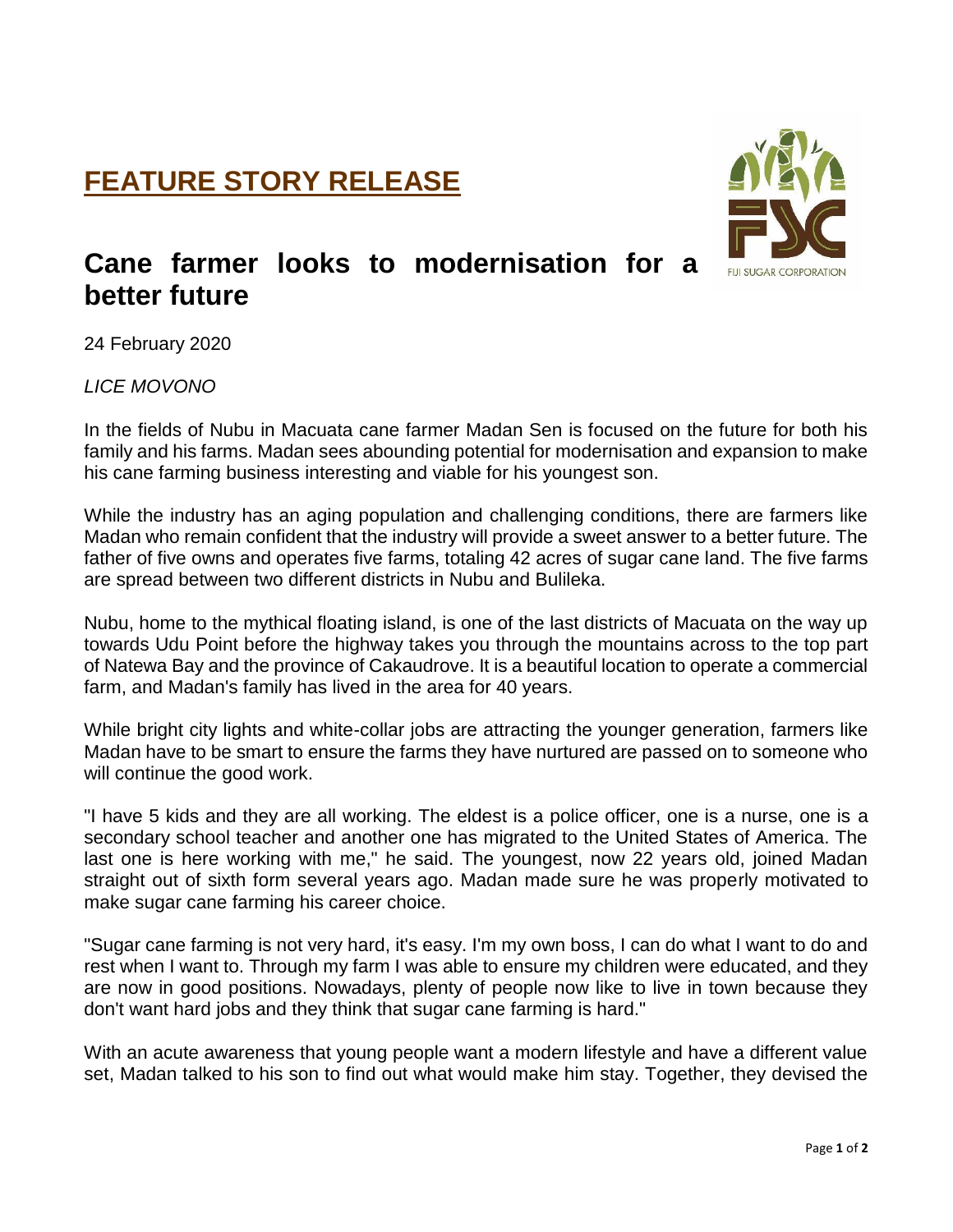## **FEATURE STORY RELEASE**



## **Cane farmer looks to modernisation for a better future**

24 February 2020

*LICE MOVONO*

In the fields of Nubu in Macuata cane farmer Madan Sen is focused on the future for both his family and his farms. Madan sees abounding potential for modernisation and expansion to make his cane farming business interesting and viable for his youngest son.

While the industry has an aging population and challenging conditions, there are farmers like Madan who remain confident that the industry will provide a sweet answer to a better future. The father of five owns and operates five farms, totaling 42 acres of sugar cane land. The five farms are spread between two different districts in Nubu and Bulileka.

Nubu, home to the mythical floating island, is one of the last districts of Macuata on the way up towards Udu Point before the highway takes you through the mountains across to the top part of Natewa Bay and the province of Cakaudrove. It is a beautiful location to operate a commercial farm, and Madan's family has lived in the area for 40 years.

While bright city lights and white-collar jobs are attracting the younger generation, farmers like Madan have to be smart to ensure the farms they have nurtured are passed on to someone who will continue the good work.

"I have 5 kids and they are all working. The eldest is a police officer, one is a nurse, one is a secondary school teacher and another one has migrated to the United States of America. The last one is here working with me," he said. The youngest, now 22 years old, joined Madan straight out of sixth form several years ago. Madan made sure he was properly motivated to make sugar cane farming his career choice.

"Sugar cane farming is not very hard, it's easy. I'm my own boss, I can do what I want to do and rest when I want to. Through my farm I was able to ensure my children were educated, and they are now in good positions. Nowadays, plenty of people now like to live in town because they don't want hard jobs and they think that sugar cane farming is hard."

With an acute awareness that young people want a modern lifestyle and have a different value set, Madan talked to his son to find out what would make him stay. Together, they devised the